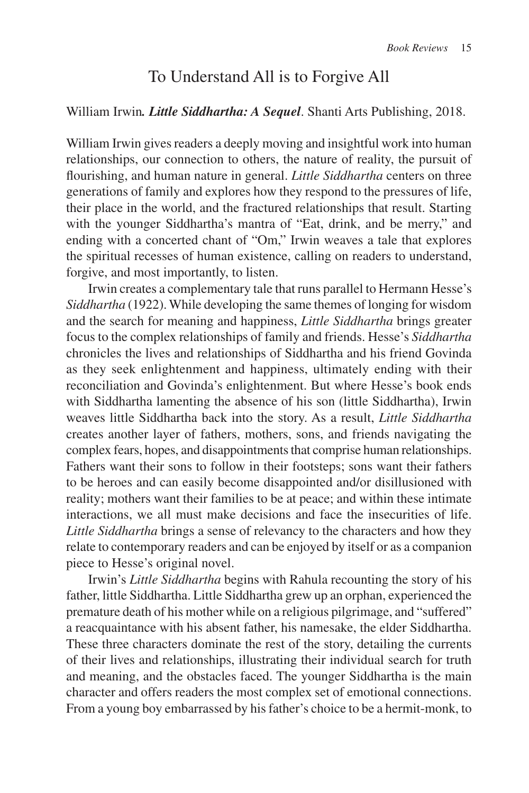## To Understand All is to Forgive All

## William Irwin*. Little Siddhartha: A Sequel*. Shanti Arts Publishing, 2018.

William Irwin gives readers a deeply moving and insightful work into human relationships, our connection to others, the nature of reality, the pursuit of flourishing, and human nature in general. *Little Siddhartha* centers on three generations of family and explores how they respond to the pressures of life, their place in the world, and the fractured relationships that result. Starting with the younger Siddhartha's mantra of "Eat, drink, and be merry," and ending with a concerted chant of "Om," Irwin weaves a tale that explores the spiritual recesses of human existence, calling on readers to understand, forgive, and most importantly, to listen.

Irwin creates a complementary tale that runs parallel to Hermann Hesse's *Siddhartha* (1922). While developing the same themes of longing for wisdom and the search for meaning and happiness, *Little Siddhartha* brings greater focus to the complex relationships of family and friends. Hesse's *Siddhartha* chronicles the lives and relationships of Siddhartha and his friend Govinda as they seek enlightenment and happiness, ultimately ending with their reconciliation and Govinda's enlightenment. But where Hesse's book ends with Siddhartha lamenting the absence of his son (little Siddhartha), Irwin weaves little Siddhartha back into the story. As a result, *Little Siddhartha* creates another layer of fathers, mothers, sons, and friends navigating the complex fears, hopes, and disappointments that comprise human relationships. Fathers want their sons to follow in their footsteps; sons want their fathers to be heroes and can easily become disappointed and/or disillusioned with reality; mothers want their families to be at peace; and within these intimate interactions, we all must make decisions and face the insecurities of life. *Little Siddhartha* brings a sense of relevancy to the characters and how they relate to contemporary readers and can be enjoyed by itself or as a companion piece to Hesse's original novel.

Irwin's *Little Siddhartha* begins with Rahula recounting the story of his father, little Siddhartha. Little Siddhartha grew up an orphan, experienced the premature death of his mother while on a religious pilgrimage, and "suffered" a reacquaintance with his absent father, his namesake, the elder Siddhartha. These three characters dominate the rest of the story, detailing the currents of their lives and relationships, illustrating their individual search for truth and meaning, and the obstacles faced. The younger Siddhartha is the main character and offers readers the most complex set of emotional connections. From a young boy embarrassed by his father's choice to be a hermit-monk, to